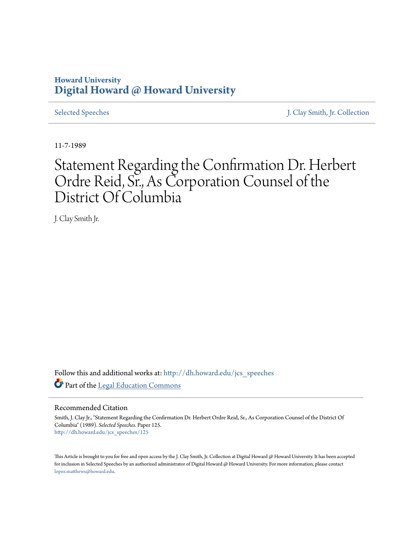# **Howard University [Digital Howard @ Howard University](http://dh.howard.edu?utm_source=dh.howard.edu%2Fjcs_speeches%2F125&utm_medium=PDF&utm_campaign=PDFCoverPages)**

[Selected Speeches](http://dh.howard.edu/jcs_speeches?utm_source=dh.howard.edu%2Fjcs_speeches%2F125&utm_medium=PDF&utm_campaign=PDFCoverPages) [J. Clay Smith, Jr. Collection](http://dh.howard.edu/jcsmith?utm_source=dh.howard.edu%2Fjcs_speeches%2F125&utm_medium=PDF&utm_campaign=PDFCoverPages)

11-7-1989

# Statement Regarding the Confirmation Dr. Herbert Ordre Reid, Sr., As Corporation Counsel of the District Of Columbia

J. Clay Smith Jr.

Follow this and additional works at: [http://dh.howard.edu/jcs\\_speeches](http://dh.howard.edu/jcs_speeches?utm_source=dh.howard.edu%2Fjcs_speeches%2F125&utm_medium=PDF&utm_campaign=PDFCoverPages) Part of the [Legal Education Commons](http://network.bepress.com/hgg/discipline/857?utm_source=dh.howard.edu%2Fjcs_speeches%2F125&utm_medium=PDF&utm_campaign=PDFCoverPages)

## Recommended Citation

Smith, J. Clay Jr., "Statement Regarding the Confirmation Dr. Herbert Ordre Reid, Sr., As Corporation Counsel of the District Of Columbia" (1989). *Selected Speeches.* Paper 125. [http://dh.howard.edu/jcs\\_speeches/125](http://dh.howard.edu/jcs_speeches/125?utm_source=dh.howard.edu%2Fjcs_speeches%2F125&utm_medium=PDF&utm_campaign=PDFCoverPages)

This Article is brought to you for free and open access by the J. Clay Smith, Jr. Collection at Digital Howard @ Howard University. It has been accepted for inclusion in Selected Speeches by an authorized administrator of Digital Howard @ Howard University. For more information, please contact [lopez.matthews@howard.edu.](mailto:lopez.matthews@howard.edu)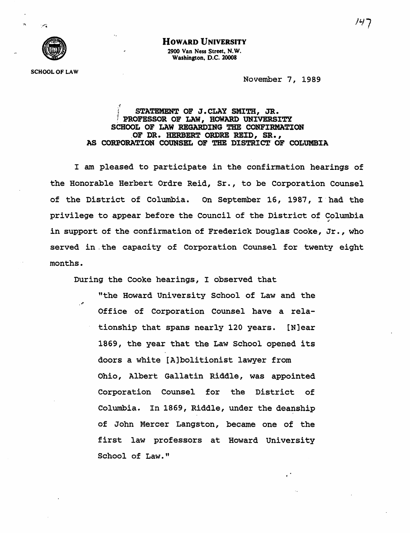

### HOWARD UNIVERSITY

2900 Van Ness Street, N. W. Washington, D.C. 20008

**SCHOOL OF LAW** 

November 7, 1989

#### *"f*  STATEMENT OF J.CLAY SMITH, JR. PROFESSOR OF LAW, HOWARD UNIVERSITY SCHOOL OF LAW REGARDING THE CONFIRMATION "OF DR. HERBERT ORDRE REID, SR., AS CORPORATION COUNSEL OF THE DISTRICT OF COLUMBIA

I am pleased to participate *in* the confirmation hearings of the Honorable Herbert Ordre Reid, Sr., to be corporation Counsel of the District of Columbia. On September 16, 1987, I"had the *privilege* to appear before the Council of the District of Columbia .;" in support of the confirmation of Frederick Douglas Cooke, Jr., who served in the capacity of Corporation Counsel for twenty eight months.

During the Cooke hearings, I observed that

"the Howard University school of Law and the Office of Corporation Counsel have a relationship that spans nearly 120 years. [N]ear 1869, the year that the Law School opened its doors a white [A]bolitionist lawyer from Ohio, Albert Gallatin Riddle, was appointed Corporation Counsel for the District of Columbia. In 1869, Riddle, under the deanship of John Mercer Langston, became one of the first law professors at Howard University School of Law."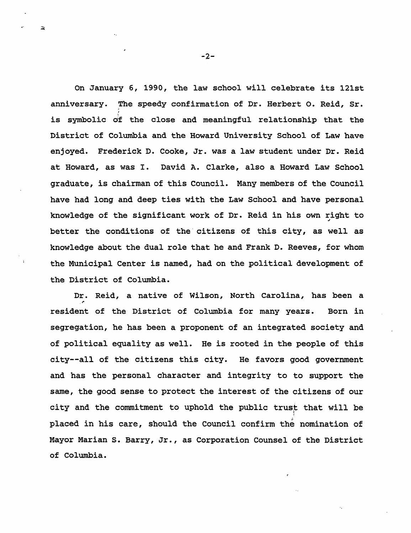On January 6, 1990, the law school will celebrate its 121st anniversary. The speedy confirmation of Dr. Herbert O. Reid, Sr. : is symbolic of the close and meaningful relationship that the District of Columbia and the Howard University School of Law have enjoyed. Frederick D. Cooke, Jr. was a law student under Dr. Reid at Howard, as was I. David A. Clarke, also a Howard Law School graduate, is chairman of this Council. Many members of the Council have had long and deep ties with the Law School and have personal knowledge of the significant work of Dr. Reid in his own right to <sup>~</sup> better the conditions of the citizens of this city, as well as knowledge about the dual role that he and Frank D. Reeves, for whom the Municipal Center is named, had on the political development of the District of Columbia.

Dr. Reid, a native of Wilson, North Carolina, has been a resident of the District of Columbia for many years. Born in segregation, he has been a proponent of an integrated society and of political equality as well. He is rooted in the people of this city--all of the citizens this city. He favors good government and has the personal character and integrity to to support the same, the good sense to protect the interest of the citlzens of our city and the commitment to uphold the public trust that will be placed in his care, should the Council confirm the nomination of Mayor Marian S. Barry, Jr., as Corporation Counsel of the District of Columbia.

 $-2-$